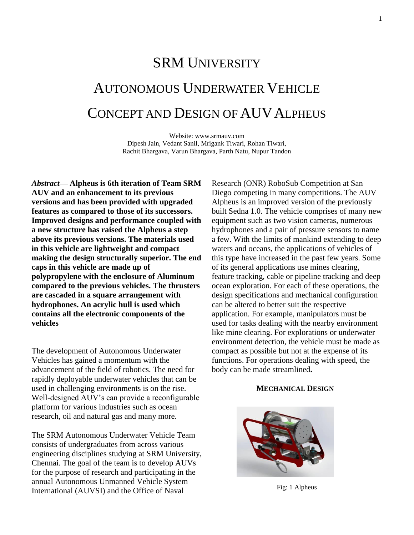# SRM UNIVERSITY AUTONOMOUS UNDERWATER VEHICLE CONCEPT AND DESIGN OF AUVALPHEUS

Website: www.srmauv.com Dipesh Jain, Vedant Sanil, Mrigank Tiwari, Rohan Tiwari, Rachit Bhargava, Varun Bhargava, Parth Natu, Nupur Tandon

*Abstract***— Alpheus is 6th iteration of Team SRM AUV and an enhancement to its previous versions and has been provided with upgraded features as compared to those of its successors. Improved designs and performance coupled with a new structure has raised the Alpheus a step above its previous versions. The materials used in this vehicle are lightweight and compact making the design structurally superior. The end caps in this vehicle are made up of polypropylene with the enclosure of Aluminum compared to the previous vehicles. The thrusters are cascaded in a square arrangement with hydrophones. An acrylic hull is used which contains all the electronic components of the vehicles**

The development of Autonomous Underwater Vehicles has gained a momentum with the advancement of the field of robotics. The need for rapidly deployable underwater vehicles that can be used in challenging environments is on the rise. Well-designed AUV's can provide a reconfigurable platform for various industries such as ocean research, oil and natural gas and many more.

The SRM Autonomous Underwater Vehicle Team consists of undergraduates from across various engineering disciplines studying at SRM University, Chennai. The goal of the team is to develop AUVs for the purpose of research and participating in the annual Autonomous Unmanned Vehicle System International (AUVSI) and the Office of Naval

Research (ONR) RoboSub Competition at San Diego competing in many competitions. The AUV Alpheus is an improved version of the previously built Sedna 1.0. The vehicle comprises of many new equipment such as two vision cameras, numerous hydrophones and a pair of pressure sensors to name a few. With the limits of mankind extending to deep waters and oceans, the applications of vehicles of this type have increased in the past few years. Some of its general applications use mines clearing, feature tracking, cable or pipeline tracking and deep ocean exploration. For each of these operations, the design specifications and mechanical configuration can be altered to better suit the respective application. For example, manipulators must be used for tasks dealing with the nearby environment like mine clearing. For explorations or underwater environment detection, the vehicle must be made as compact as possible but not at the expense of its functions. For operations dealing with speed, the body can be made streamlined**.**

#### **MECHANICAL DESIGN**



Fig: 1 Alpheus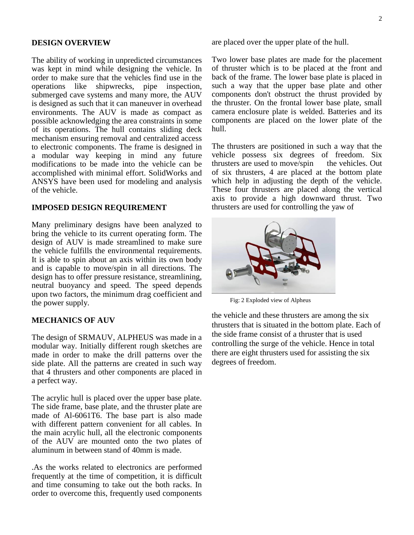#### **DESIGN OVERVIEW**

The ability of working in unpredicted circumstances was kept in mind while designing the vehicle. In order to make sure that the vehicles find use in the operations like shipwrecks, pipe inspection, submerged cave systems and many more, the AUV is designed as such that it can maneuver in overhead environments. The AUV is made as compact as possible acknowledging the area constraints in some of its operations. The hull contains sliding deck mechanism ensuring removal and centralized access to electronic components. The frame is designed in a modular way keeping in mind any future modifications to be made into the vehicle can be accomplished with minimal effort. SolidWorks and ANSYS have been used for modeling and analysis of the vehicle.

#### **IMPOSED DESIGN REQUIREMENT**

Many preliminary designs have been analyzed to bring the vehicle to its current operating form. The design of AUV is made streamlined to make sure the vehicle fulfills the environmental requirements. It is able to spin about an axis within its own body and is capable to move/spin in all directions. The design has to offer pressure resistance, streamlining, neutral buoyancy and speed. The speed depends upon two factors, the minimum drag coefficient and the power supply.

#### **MECHANICS OF AUV**

The design of SRMAUV, ALPHEUS was made in a modular way. Initially different rough sketches are made in order to make the drill patterns over the side plate. All the patterns are created in such way that 4 thrusters and other components are placed in a perfect way.

The acrylic hull is placed over the upper base plate. The side frame, base plate, and the thruster plate are made of Al-6061T6. The base part is also made with different pattern convenient for all cables. In the main acrylic hull, all the electronic components of the AUV are mounted onto the two plates of aluminum in between stand of 40mm is made.

.As the works related to electronics are performed frequently at the time of competition, it is difficult and time consuming to take out the both racks. In order to overcome this, frequently used components

are placed over the upper plate of the hull.

Two lower base plates are made for the placement of thruster which is to be placed at the front and back of the frame. The lower base plate is placed in such a way that the upper base plate and other components don't obstruct the thrust provided by the thruster. On the frontal lower base plate, small camera enclosure plate is welded. Batteries and its components are placed on the lower plate of the hull.

The thrusters are positioned in such a way that the vehicle possess six degrees of freedom. Six thrusters are used to move/spin the vehicles. Out of six thrusters, 4 are placed at the bottom plate which help in adjusting the depth of the vehicle. These four thrusters are placed along the vertical axis to provide a high downward thrust. Two thrusters are used for controlling the yaw of



Fig: 2 Exploded view of Alpheus

the vehicle and these thrusters are among the six thrusters that is situated in the bottom plate. Each of the side frame consist of a thruster that is used controlling the surge of the vehicle. Hence in total there are eight thrusters used for assisting the six degrees of freedom.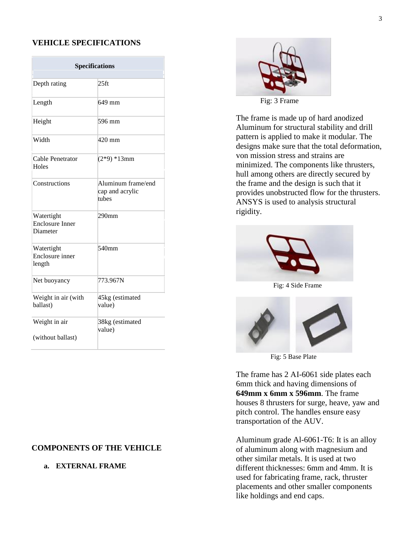## **VEHICLE SPECIFICATIONS**

| <b>Specifications</b>                            |                                                |  |  |
|--------------------------------------------------|------------------------------------------------|--|--|
|                                                  |                                                |  |  |
| Depth rating                                     | 25 <sub>ft</sub>                               |  |  |
| Length                                           | 649 mm                                         |  |  |
| Height                                           | 596 mm                                         |  |  |
| Width                                            | 420 mm                                         |  |  |
| Cable Penetrator<br>Holes                        | $(2*9)*13mm$                                   |  |  |
| Constructions                                    | Aluminum frame/end<br>cap and acrylic<br>tubes |  |  |
| Watertight<br><b>Enclosure Inner</b><br>Diameter | 290 <sub>mm</sub>                              |  |  |
| Watertight<br>Enclosure inner<br>length          | $540$ mm                                       |  |  |
| Net buoyancy                                     | 773.967N                                       |  |  |
| Weight in air (with<br>ballast)                  | 45kg (estimated<br>value)                      |  |  |
| Weight in air<br>(without ballast)               | 38kg (estimated<br>value)                      |  |  |

# **COMPONENTS OF THE VEHICLE**

## **a. EXTERNAL FRAME**



Fig: 3 Frame

The frame is made up of hard anodized Aluminum for structural stability and drill pattern is applied to make it modular. The designs make sure that the total deformation, von mission stress and strains are minimized. The components like thrusters, hull among others are directly secured by the frame and the design is such that it provides unobstructed flow for the thrusters. ANSYS is used to analysis structural rigidity.



Fig: 4 Side Frame



Fig: 5 Base Plate

The frame has 2 AI-6061 side plates each 6mm thick and having dimensions of **649mm x 6mm x 596mm**. The frame houses 8 thrusters for surge, heave, yaw and pitch control. The handles ensure easy transportation of the AUV.

Aluminum grade Al-6061-T6: It is an alloy of aluminum along with magnesium and other similar metals. It is used at two different thicknesses: 6mm and 4mm. It is used for fabricating frame, rack, thruster placements and other smaller components like holdings and end caps.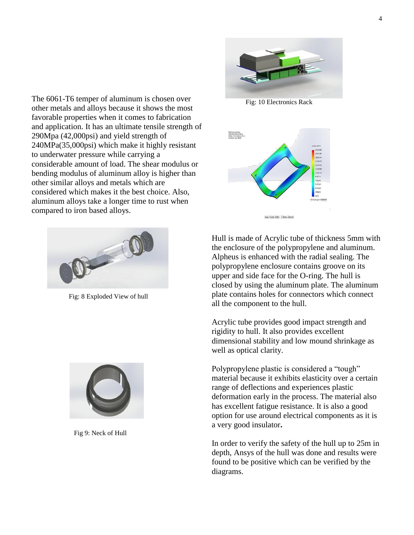

Fig: 10 Electronics Rack

The 6061-T6 temper of aluminum is chosen over other metals and alloys because it shows the most favorable properties when it comes to fabrication and application. It has an ultimate tensile strength of 290Mpa (42,000psi) and yield strength of 240MPa(35,000psi) which make it highly resistant to underwater pressure while carrying a considerable amount of load. The shear modulus or bending modulus of aluminum alloy is higher than other similar alloys and metals which are considered which makes it the best choice. Also, aluminum alloys take a longer time to rust when compared to iron based alloys.



Fig: 8 Exploded View of hull



Fig 9: Neck of Hull

![](_page_3_Figure_7.jpeg)

![](_page_3_Figure_8.jpeg)

Hull is made of Acrylic tube of thickness 5mm with the enclosure of the polypropylene and aluminum. Alpheus is enhanced with the radial sealing. The polypropylene enclosure contains groove on its upper and side face for the O-ring. The hull is closed by using the aluminum plate. The aluminum plate contains holes for connectors which connect all the component to the hull.

Acrylic tube provides good impact strength and rigidity to hull. It also provides excellent dimensional stability and low mound shrinkage as well as optical clarity.

Polypropylene plastic is considered a "tough" material because it exhibits elasticity over a certain range of deflections and experiences plastic deformation early in the process. The material also has excellent fatigue resistance. It is also a good option for use around electrical components as it is a very good insulator**.**

In order to verify the safety of the hull up to 25m in depth, Ansys of the hull was done and results were found to be positive which can be verified by the diagrams.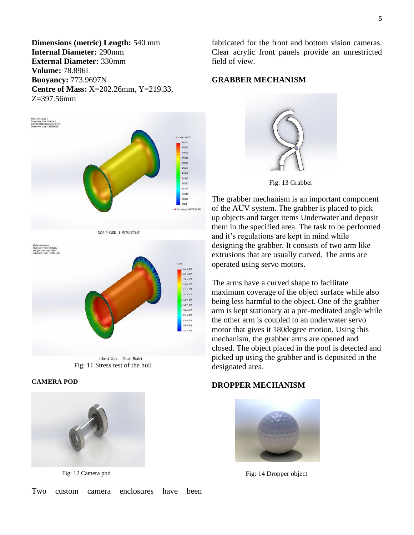**Dimensions (metric) Length:** 540 mm **Internal Diameter:** 290mm **External Diameter:** 330mm **Volume:** 78.896L **Buoyancy:** 773.9697N **Centre of Mass:** X=202.26mm, Y=219.33,  $Z=397.56$ mm

![](_page_4_Figure_1.jpeg)

tube 4-Static 1-Stress-Stress1

![](_page_4_Figure_3.jpeg)

Fig: 11 Stress test of the hull

#### **CAMERA POD**

![](_page_4_Picture_6.jpeg)

Fig: 12 Camera pod

fabricated for the front and bottom vision cameras. Clear acrylic front panels provide an unrestricted field of view.

## **GRABBER MECHANISM**

![](_page_4_Picture_10.jpeg)

Fig: 13 Grabber

The grabber mechanism is an important component of the AUV system. The grabber is placed to pick up objects and target items Underwater and deposit them in the specified area. The task to be performed and it's regulations are kept in mind while designing the grabber. It consists of two arm like extrusions that are usually curved. The arms are operated using servo motors.

The arms have a curved shape to facilitate maximum coverage of the object surface while also being less harmful to the object. One of the grabber arm is kept stationary at a pre-meditated angle while the other arm is coupled to an underwater servo motor that gives it 180degree motion. Using this mechanism, the grabber arms are opened and closed. The object placed in the pool is detected and picked up using the grabber and is deposited in the designated area.

#### **DROPPER MECHANISM**

![](_page_4_Picture_15.jpeg)

Fig: 14 Dropper object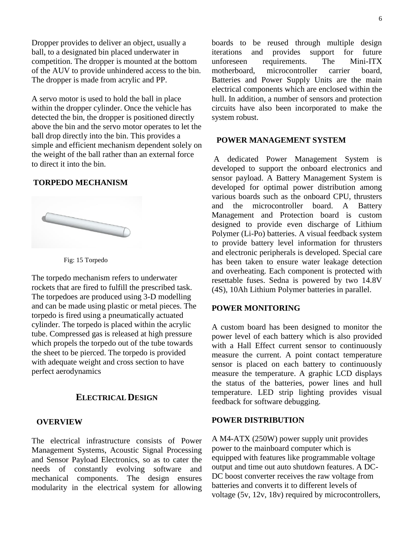Dropper provides to deliver an object, usually a ball, to a designated bin placed underwater in competition. The dropper is mounted at the bottom of the AUV to provide unhindered access to the bin. The dropper is made from acrylic and PP.

A servo motor is used to hold the ball in place within the dropper cylinder. Once the vehicle has detected the bin, the dropper is positioned directly above the bin and the servo motor operates to let the ball drop directly into the bin. This provides a simple and efficient mechanism dependent solely on the weight of the ball rather than an external force to direct it into the bin.

## **TORPEDO MECHANISM**

![](_page_5_Picture_3.jpeg)

![](_page_5_Figure_4.jpeg)

The torpedo mechanism refers to underwater rockets that are fired to fulfill the prescribed task. The torpedoes are produced using 3-D modelling and can be made using plastic or metal pieces. The torpedo is fired using a pneumatically actuated cylinder. The torpedo is placed within the acrylic tube. Compressed gas is released at high pressure which propels the torpedo out of the tube towards the sheet to be pierced. The torpedo is provided with adequate weight and cross section to have perfect aerodynamics

## **ELECTRICAL DESIGN**

#### **OVERVIEW**

The electrical infrastructure consists of Power Management Systems, Acoustic Signal Processing and Sensor Payload Electronics, so as to cater the needs of constantly evolving software and mechanical components. The design ensures modularity in the electrical system for allowing boards to be reused through multiple design iterations and provides support for future unforeseen requirements. The Mini-ITX motherboard, microcontroller carrier board, Batteries and Power Supply Units are the main electrical components which are enclosed within the hull. In addition, a number of sensors and protection circuits have also been incorporated to make the system robust.

#### **POWER MANAGEMENT SYSTEM**

A dedicated Power Management System is developed to support the onboard electronics and sensor payload. A Battery Management System is developed for optimal power distribution among various boards such as the onboard CPU, thrusters and the microcontroller board. A Battery Management and Protection board is custom designed to provide even discharge of Lithium Polymer (Li-Po) batteries. A visual feedback system to provide battery level information for thrusters and electronic peripherals is developed. Special care has been taken to ensure water leakage detection and overheating. Each component is protected with resettable fuses. Sedna is powered by two 14.8V (4S), 10Ah Lithium Polymer batteries in parallel.

## **POWER MONITORING**

A custom board has been designed to monitor the power level of each battery which is also provided with a Hall Effect current sensor to continuously measure the current. A point contact temperature sensor is placed on each battery to continuously measure the temperature. A graphic LCD displays the status of the batteries, power lines and hull temperature. LED strip lighting provides visual feedback for software debugging.

#### **POWER DISTRIBUTION**

A M4-ATX (250W) power supply unit provides power to the mainboard computer which is equipped with features like programmable voltage output and time out auto shutdown features. A DC-DC boost converter receives the raw voltage from batteries and converts it to different levels of voltage (5v, 12v, 18v) required by microcontrollers,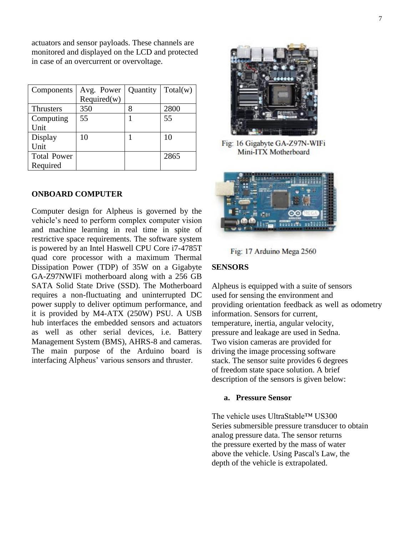actuators and sensor payloads. These channels are monitored and displayed on the LCD and protected in case of an overcurrent or overvoltage.

| Components         | Avg. Power  | Quantity | Total(w) |
|--------------------|-------------|----------|----------|
|                    | Required(w) |          |          |
| <b>Thrusters</b>   | 350         | 8        | 2800     |
| Computing          | 55          |          | 55       |
| Unit               |             |          |          |
| Display            | 10          |          | 10       |
| Unit               |             |          |          |
| <b>Total Power</b> |             |          | 2865     |
| Required           |             |          |          |

## **ONBOARD COMPUTER**

Computer design for Alpheus is governed by the vehicle's need to perform complex computer vision and machine learning in real time in spite of restrictive space requirements. The software system is powered by an Intel Haswell CPU Core i7-4785T quad core processor with a maximum Thermal Dissipation Power (TDP) of 35W on a Gigabyte GA-Z97NWIFi motherboard along with a 256 GB SATA Solid State Drive (SSD). The Motherboard requires a non-fluctuating and uninterrupted DC power supply to deliver optimum performance, and it is provided by M4-ATX (250W) PSU. A USB hub interfaces the embedded sensors and actuators as well as other serial devices, i.e. Battery Management System (BMS), AHRS-8 and cameras. The main purpose of the Arduino board is interfacing Alpheus' various sensors and thruster.

![](_page_6_Picture_4.jpeg)

Fig: 16 Gigabyte GA-Z97N-WIFi Mini-ITX Motherboard

![](_page_6_Picture_6.jpeg)

Fig: 17 Arduino Mega 2560

#### **SENSORS**

Alpheus is equipped with a suite of sensors used for sensing the environment and providing orientation feedback as well as odometry information. Sensors for current, temperature, inertia, angular velocity, pressure and leakage are used in Sedna. Two vision cameras are provided for driving the image processing software stack. The sensor suite provides 6 degrees of freedom state space solution. A brief description of the sensors is given below:

## **a. Pressure Sensor**

The vehicle uses UltraStable™ US300 Series submersible pressure transducer to obtain analog pressure data. The sensor returns the pressure exerted by the mass of water above the vehicle. Using Pascal's Law, the depth of the vehicle is extrapolated.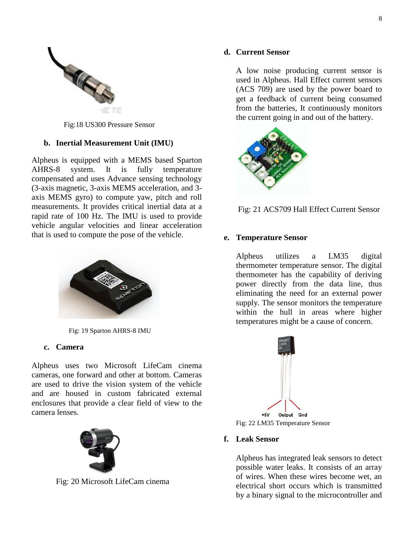![](_page_7_Picture_0.jpeg)

Fig:18 US300 Pressure Sensor

## **b. Inertial Measurement Unit (IMU)**

Alpheus is equipped with a MEMS based Sparton AHRS-8 system. It is fully temperature compensated and uses Advance sensing technology (3-axis magnetic, 3-axis MEMS acceleration, and 3 axis MEMS gyro) to compute yaw, pitch and roll measurements. It provides critical inertial data at a rapid rate of 100 Hz. The IMU is used to provide vehicle angular velocities and linear acceleration that is used to compute the pose of the vehicle.

![](_page_7_Picture_4.jpeg)

Fig: 19 Sparton AHRS-8 IMU

## **c. Camera**

Alpheus uses two Microsoft LifeCam cinema cameras, one forward and other at bottom. Cameras are used to drive the vision system of the vehicle and are housed in custom fabricated external enclosures that provide a clear field of view to the camera lenses.

![](_page_7_Picture_8.jpeg)

Fig: 20 Microsoft LifeCam cinema

## **d. Current Sensor**

A low noise producing current sensor is used in Alpheus. Hall Effect current sensors (ACS 709) are used by the power board to get a feedback of current being consumed from the batteries, It continuously monitors the current going in and out of the battery.

![](_page_7_Picture_12.jpeg)

![](_page_7_Figure_13.jpeg)

## **e. Temperature Sensor**

Alpheus utilizes a LM35 digital thermometer temperature sensor. The digital thermometer has the capability of deriving power directly from the data line, thus eliminating the need for an external power supply. The sensor monitors the temperature within the hull in areas where higher temperatures might be a cause of concern.

![](_page_7_Figure_16.jpeg)

## **f. Leak Sensor**

Alpheus has integrated leak sensors to detect possible water leaks. It consists of an array of wires. When these wires become wet, an electrical short occurs which is transmitted by a binary signal to the microcontroller and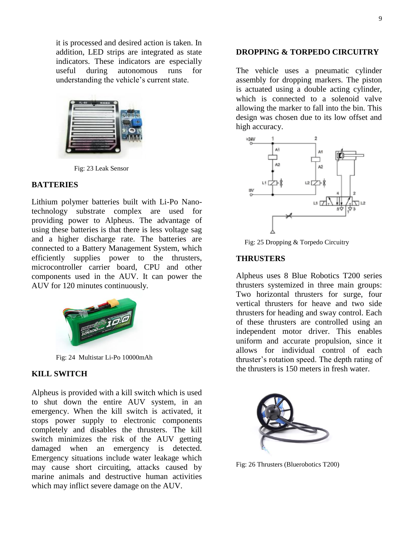it is processed and desired action is taken. In addition, LED strips are integrated as state indicators. These indicators are especially useful during autonomous runs for understanding the vehicle's current state.

![](_page_8_Picture_1.jpeg)

Fig: 23 Leak Sensor

#### **BATTERIES**

Lithium polymer batteries built with Li-Po Nanotechnology substrate complex are used for providing power to Alpheus. The advantage of using these batteries is that there is less voltage sag and a higher discharge rate. The batteries are connected to a Battery Management System, which efficiently supplies power to the thrusters, microcontroller carrier board, CPU and other components used in the AUV. It can power the AUV for 120 minutes continuously.

![](_page_8_Picture_5.jpeg)

Fig: 24 Multistar Li-Po 10000mAh

## **KILL SWITCH**

Alpheus is provided with a kill switch which is used to shut down the entire AUV system, in an emergency. When the kill switch is activated, it stops power supply to electronic components completely and disables the thrusters. The kill switch minimizes the risk of the AUV getting damaged when an emergency is detected. Emergency situations include water leakage which may cause short circuiting, attacks caused by marine animals and destructive human activities which may inflict severe damage on the AUV.

#### **DROPPING & TORPEDO CIRCUITRY**

The vehicle uses a pneumatic cylinder assembly for dropping markers. The piston is actuated using a double acting cylinder, which is connected to a solenoid valve allowing the marker to fall into the bin. This design was chosen due to its low offset and high accuracy.

![](_page_8_Figure_11.jpeg)

Fig: 25 Dropping & Torpedo Circuitry

### **THRUSTERS**

Alpheus uses 8 Blue Robotics T200 series thrusters systemized in three main groups: Two horizontal thrusters for surge, four vertical thrusters for heave and two side thrusters for heading and sway control. Each of these thrusters are controlled using an independent motor driver. This enables uniform and accurate propulsion, since it allows for individual control of each thruster's rotation speed. The depth rating of the thrusters is 150 meters in fresh water.

![](_page_8_Picture_15.jpeg)

Fig: 26 Thrusters (Bluerobotics T200)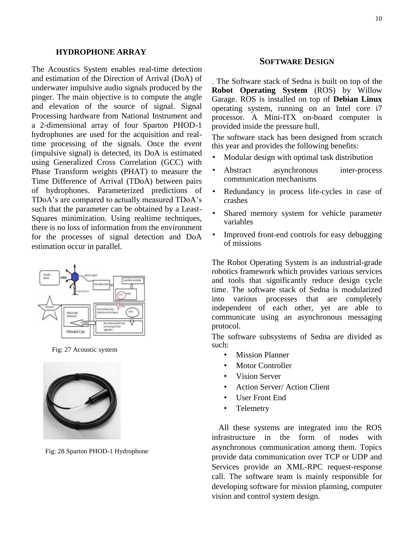#### **HYDROPHONE ARRAY**

The Acoustics System enables real-time detection and estimation of the Direction of Arrival (DoA) of underwater impulsive audio signals produced by the pinger. The main objective is to compute the angle and elevation of the source of signal. Signal Processing hardware from National Instrument and a 2-dimensional array of four Sparton PHOD-1 hydrophones are used for the acquisition and realtime processing of the signals. Once the event (impulsive signal) is detected, its DoA is estimated using Generalized Cross Correlation (GCC) with Phase Transform weights (PHAT) to measure the Time Difference of Arrival (TDoA) between pairs of hydrophones. Parameterized predictions of TDoA's are compared to actually measured TDoA's such that the parameter can be obtained by a Least-Squares minimization. Using realtime techniques, there is no loss of information from the environment for the processes of signal detection and DoA estimation occur in parallel.

![](_page_9_Figure_2.jpeg)

Fig: 27 Acoustic system

![](_page_9_Picture_4.jpeg)

Fig: 28 Sparton PHOD-1 Hydrophone

## **SOFTWARE DESIGN**

. The Software stack of Sedna is built on top of the **Robot Operating System** (ROS) by Willow Garage. ROS is installed on top of **Debian Linux** operating system, running on an Intel core i7 processor. A Mini-ITX on-board computer is provided inside the pressure hull.

The software stack has been designed from scratch this year and provides the following benefits:

- Modular design with optimal task distribution
- Abstract asynchronous inter-process communication mechanisms
- Redundancy in process life-cycles in case of crashes
- Shared memory system for vehicle parameter variables
- Improved front-end controls for easy debugging of missions

The Robot Operating System is an industrial-grade robotics framework which provides various services and tools that significantly reduce design cycle time. The software stack of Sedna is modularized into various processes that are completely independent of each other, yet are able to communicate using an asynchronous messaging protocol.

The software subsystems of Sedna are divided as such:

- **Mission Planner**
- Motor Controller
- Vision Server
- Action Server/ Action Client
- User Front End
- **Telemetry**

All these systems are integrated into the ROS infrastructure in the form of nodes with asynchronous communication among them. Topics provide data communication over TCP or UDP and Services provide an XML-RPC request-response call. The software team is mainly responsible for developing software for mission planning, computer vision and control system design.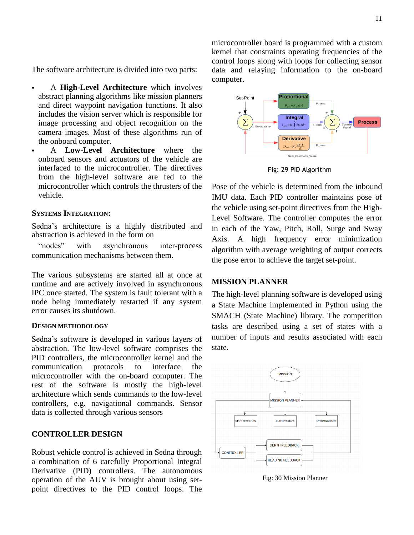The software architecture is divided into two parts:

- A **High-Level Architecture** which involves abstract planning algorithms like mission planners and direct waypoint navigation functions. It also includes the vision server which is responsible for image processing and object recognition on the camera images. Most of these algorithms run of the onboard computer.
- A **Low-Level Architecture** where the onboard sensors and actuators of the vehicle are interfaced to the microcontroller. The directives from the high-level software are fed to the microcontroller which controls the thrusters of the vehicle.

#### **SYSTEMS INTEGRATION:**

Sedna's architecture is a highly distributed and abstraction is achieved in the form on

"nodes" with asynchronous inter-process communication mechanisms between them.

The various subsystems are started all at once at runtime and are actively involved in asynchronous IPC once started. The system is fault tolerant with a node being immediately restarted if any system error causes its shutdown.

#### **DESIGN METHODOLOGY**

Sedna's software is developed in various layers of abstraction. The low-level software comprises the PID controllers, the microcontroller kernel and the communication protocols to interface the microcontroller with the on-board computer. The rest of the software is mostly the high-level architecture which sends commands to the low-level controllers, e.g. navigational commands. Sensor data is collected through various sensors

## **CONTROLLER DESIGN**

Robust vehicle control is achieved in Sedna through a combination of 6 carefully Proportional Integral Derivative (PID) controllers. The autonomous operation of the AUV is brought about using setpoint directives to the PID control loops. The microcontroller board is programmed with a custom kernel that constraints operating frequencies of the control loops along with loops for collecting sensor data and relaying information to the on-board computer.

![](_page_10_Figure_13.jpeg)

Fig: 29 PID Algorithm

Pose of the vehicle is determined from the inbound IMU data. Each PID controller maintains pose of the vehicle using set-point directives from the High-Level Software. The controller computes the error in each of the Yaw, Pitch, Roll, Surge and Sway Axis. A high frequency error minimization algorithm with average weighting of output corrects the pose error to achieve the target set-point.

## **MISSION PLANNER**

The high-level planning software is developed using a State Machine implemented in Python using the SMACH (State Machine) library. The competition tasks are described using a set of states with a number of inputs and results associated with each state.

![](_page_10_Figure_18.jpeg)

Fig: 30 Mission Planner